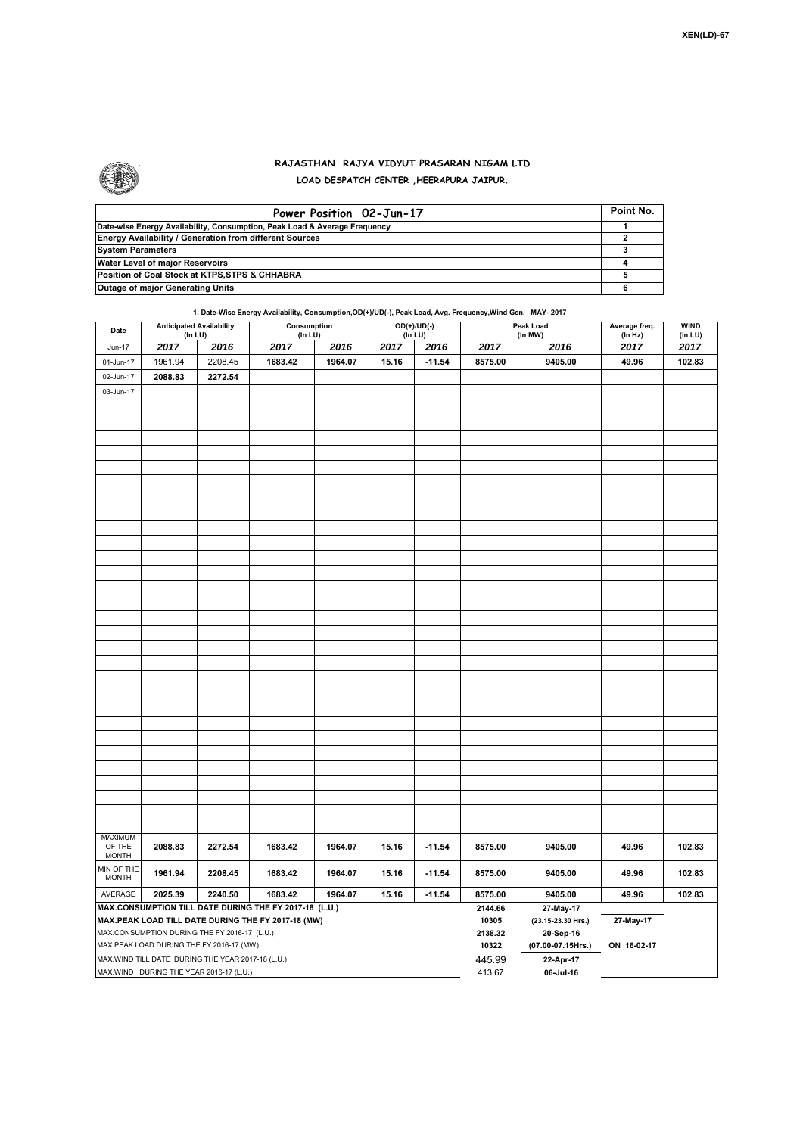

## **RAJASTHAN RAJYA VIDYUT PRASARAN NIGAM LTD**

**LOAD DESPATCH CENTER ,HEERAPURA JAIPUR.**

| Power Position 02-Jun-17                                                  | Point No. |
|---------------------------------------------------------------------------|-----------|
| Date-wise Energy Availability, Consumption, Peak Load & Average Frequency |           |
| <b>Energy Availability / Generation from different Sources</b>            |           |
| <b>System Parameters</b>                                                  |           |
| Water Level of major Reservoirs                                           |           |
| Position of Coal Stock at KTPS, STPS & CHHABRA                            |           |
| <b>Outage of major Generating Units</b>                                   |           |

**1. Date-Wise Energy Availability, Consumption,OD(+)/UD(-), Peak Load, Avg. Frequency,Wind Gen. –MAY- 2017**

| Date                                                                                                                                                         | <b>Anticipated Availability</b><br>(In LU) |         | Consumption<br>(In LU) |         |       | $OD(+)/UD(-)$<br>(In LU) |                  | Peak Load<br>(In MW)                         | Average freq.<br>(In Hz) | <b>WIND</b><br>(in LU) |  |  |
|--------------------------------------------------------------------------------------------------------------------------------------------------------------|--------------------------------------------|---------|------------------------|---------|-------|--------------------------|------------------|----------------------------------------------|--------------------------|------------------------|--|--|
| <b>Jun-17</b>                                                                                                                                                | 2017                                       | 2016    | 2017                   | 2016    | 2017  | 2016                     | 2017             | 2016                                         | 2017                     | 2017                   |  |  |
| 01-Jun-17                                                                                                                                                    | 1961.94                                    | 2208.45 | 1683.42                | 1964.07 | 15.16 | $-11.54$                 | 8575.00          | 9405.00                                      | 49.96                    | 102.83                 |  |  |
| 02-Jun-17                                                                                                                                                    | 2088.83                                    | 2272.54 |                        |         |       |                          |                  |                                              |                          |                        |  |  |
| 03-Jun-17                                                                                                                                                    |                                            |         |                        |         |       |                          |                  |                                              |                          |                        |  |  |
|                                                                                                                                                              |                                            |         |                        |         |       |                          |                  |                                              |                          |                        |  |  |
|                                                                                                                                                              |                                            |         |                        |         |       |                          |                  |                                              |                          |                        |  |  |
|                                                                                                                                                              |                                            |         |                        |         |       |                          |                  |                                              |                          |                        |  |  |
|                                                                                                                                                              |                                            |         |                        |         |       |                          |                  |                                              |                          |                        |  |  |
|                                                                                                                                                              |                                            |         |                        |         |       |                          |                  |                                              |                          |                        |  |  |
|                                                                                                                                                              |                                            |         |                        |         |       |                          |                  |                                              |                          |                        |  |  |
|                                                                                                                                                              |                                            |         |                        |         |       |                          |                  |                                              |                          |                        |  |  |
|                                                                                                                                                              |                                            |         |                        |         |       |                          |                  |                                              |                          |                        |  |  |
|                                                                                                                                                              |                                            |         |                        |         |       |                          |                  |                                              |                          |                        |  |  |
|                                                                                                                                                              |                                            |         |                        |         |       |                          |                  |                                              |                          |                        |  |  |
|                                                                                                                                                              |                                            |         |                        |         |       |                          |                  |                                              |                          |                        |  |  |
|                                                                                                                                                              |                                            |         |                        |         |       |                          |                  |                                              |                          |                        |  |  |
|                                                                                                                                                              |                                            |         |                        |         |       |                          |                  |                                              |                          |                        |  |  |
|                                                                                                                                                              |                                            |         |                        |         |       |                          |                  |                                              |                          |                        |  |  |
|                                                                                                                                                              |                                            |         |                        |         |       |                          |                  |                                              |                          |                        |  |  |
|                                                                                                                                                              |                                            |         |                        |         |       |                          |                  |                                              |                          |                        |  |  |
|                                                                                                                                                              |                                            |         |                        |         |       |                          |                  |                                              |                          |                        |  |  |
|                                                                                                                                                              |                                            |         |                        |         |       |                          |                  |                                              |                          |                        |  |  |
|                                                                                                                                                              |                                            |         |                        |         |       |                          |                  |                                              |                          |                        |  |  |
|                                                                                                                                                              |                                            |         |                        |         |       |                          |                  |                                              |                          |                        |  |  |
|                                                                                                                                                              |                                            |         |                        |         |       |                          |                  |                                              |                          |                        |  |  |
|                                                                                                                                                              |                                            |         |                        |         |       |                          |                  |                                              |                          |                        |  |  |
|                                                                                                                                                              |                                            |         |                        |         |       |                          |                  |                                              |                          |                        |  |  |
|                                                                                                                                                              |                                            |         |                        |         |       |                          |                  |                                              |                          |                        |  |  |
|                                                                                                                                                              |                                            |         |                        |         |       |                          |                  |                                              |                          |                        |  |  |
|                                                                                                                                                              |                                            |         |                        |         |       |                          |                  |                                              |                          |                        |  |  |
|                                                                                                                                                              |                                            |         |                        |         |       |                          |                  |                                              |                          |                        |  |  |
|                                                                                                                                                              |                                            |         |                        |         |       |                          |                  |                                              |                          |                        |  |  |
|                                                                                                                                                              |                                            |         |                        |         |       |                          |                  |                                              |                          |                        |  |  |
| MAXIMUM<br>OF THE<br><b>MONTH</b>                                                                                                                            | 2088.83                                    | 2272.54 | 1683.42                | 1964.07 | 15.16 | $-11.54$                 | 8575.00          | 9405.00                                      | 49.96                    | 102.83                 |  |  |
| MIN OF THE<br><b>MONTH</b>                                                                                                                                   | 1961.94                                    | 2208.45 | 1683.42                | 1964.07 | 15.16 | $-11.54$                 | 8575.00          | 9405.00                                      | 49.96                    | 102.83                 |  |  |
| AVERAGE                                                                                                                                                      | 2025.39                                    | 2240.50 | 1683.42                | 1964.07 | 15.16 | $-11.54$                 | 8575.00          | 9405.00                                      | 49.96                    | 102.83                 |  |  |
| MAX.CONSUMPTION TILL DATE DURING THE FY 2017-18 (L.U.)<br>MAX.PEAK LOAD TILL DATE DURING THE FY 2017-18 (MW)<br>MAX.CONSUMPTION DURING THE FY 2016-17 (L.U.) |                                            |         |                        |         |       |                          |                  | 27-May-17<br>(23.15-23.30 Hrs.)<br>20-Sep-16 | 27-May-17                |                        |  |  |
| MAX.PEAK LOAD DURING THE FY 2016-17 (MW)                                                                                                                     |                                            |         |                        |         |       |                          | 10322            | (07.00-07.15Hrs.)<br>ON 16-02-17             |                          |                        |  |  |
| MAX.WIND TILL DATE DURING THE YEAR 2017-18 (L.U.)                                                                                                            |                                            |         |                        |         |       |                          | 445.99<br>413.67 | 22-Apr-17                                    |                          |                        |  |  |
| MAX.WIND DURING THE YEAR 2016-17 (L.U.)                                                                                                                      |                                            |         |                        |         |       |                          |                  | 06-Jul-16                                    |                          |                        |  |  |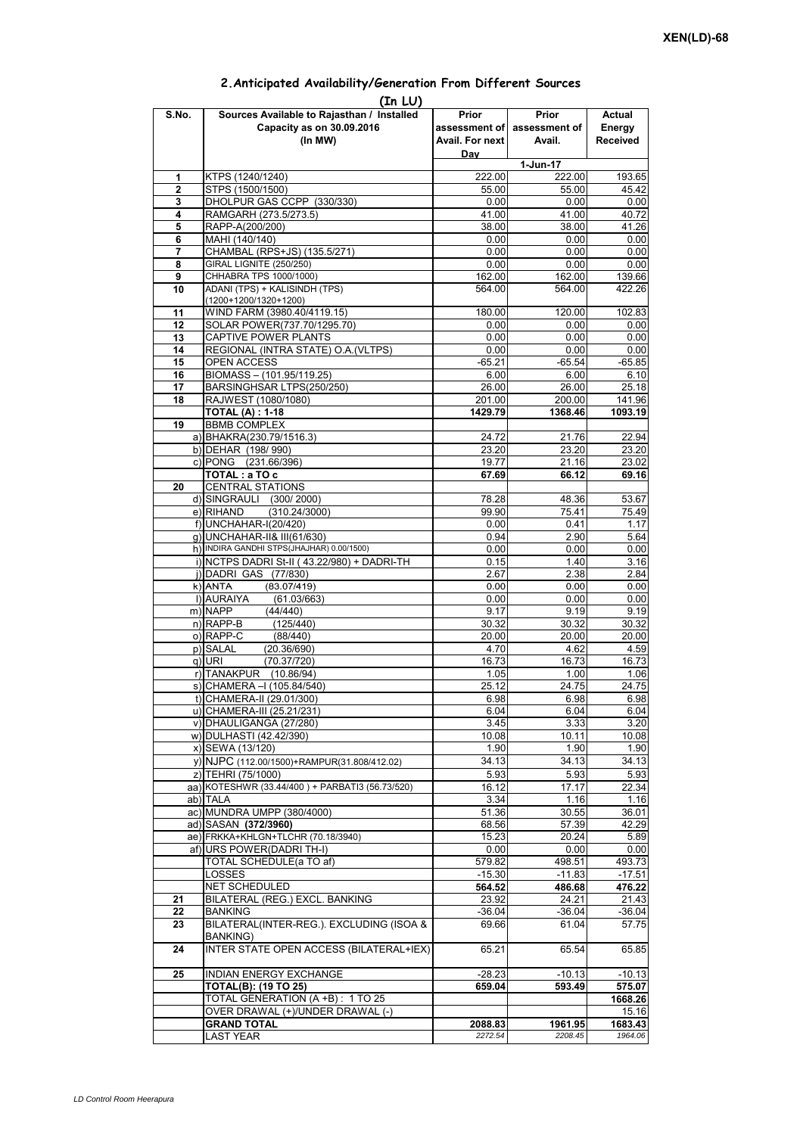## **Prior assessment of Avail. For next Day Prior assessment of Avail. Actual Energy Received 1** KTPS (1240/1240) 222.00 222.00 193.65 **2** STPS (1500/1500)<br> **3** DHOLPUR GAS CCPP (330/330)<br> **10.00** 0.00 0.00 0.00 0.00 **3** DHOLPUR GAS CCPP (330/330) **4** RAMGARH (273.5/273.5) 41.00 40.72<br> **5** RAPP-A(200/200) 40.72 **5** RAPP-A(200/200) **38.00** 38.00 38.00 41.26<br>**6** MAHI (140/140) 0.00 0.00 0.00 0.00 **6** MAHI (140/140) 0.00 0.00 **7** CHAMBAL (RPS+JS) (135.5/271) 0.00 0.00 0.00 0.00 **8** GIRAL LIGNITE (250/250) 0.00 0.00 0.00 0.00<br> **9** CHHABRA TPS 1000/1000) 0.00 162.00 162.00 139.66 **9** CHHABRA TPS 1000/1000) **10** ADANI (TPS) + KALISINDH (TPS) (1200+1200/1320+1200) 564.00 564.00 422.26 11 | WIND FARM (3980.40/4119.15)  $\qquad$  180.00 120.00 120.00 102.83 12 SOLAR POWER(737.70/1295.70) 0.00 0.00 0.00 0.00 **13** CAPTIVE POWER PLANTS 0.00 0.00 0.00 0.00 **14** REGIONAL (INTRA STATE) O.A.(VLTPS) 0.00 0.00 0.00 0.00 0.00 15 OPEN ACCESS -65.21 -65.54 -65.85<br>16 BIOMASS – (101.95/119.25) -6.00 6.00 6.10 **BIOMASS – (101.95/119.25)** 17 BARSINGHSAR LTPS(250/250) 26.00 26.00 25.18 **18** RAJWEST (1080/1080) 201.00 200.00 141.96 **TOTAL (A) : 1-18 1429.79 1368.46 1093.19 19** BBMB COMPLEX a) BHAKRA(230.79/1516.3) 24.72 21.76 22.94<br>b) DEHAR (198/990) 23.20 23.20 23.20 23.20 b) DEHAR (198/ 990) c) PONG (231.66/396) 19.77 21.16 23.02 **TOTAL : a TO c** 67.69 66.12 69.16 **20** CENTRAL STATIONS d) SINGRAULI (300/2000) 78.28 48.36 53.67<br>e) RIHAND (310.24/3000) 99.90 75.41 75.49  $(310.24/3000)$ f) 0.00 0.41 1.17 g) UNCHAHAR-II& III(61/630) 0.94 2.90 5.64 h) INDIRA GANDHI STPS(JHAJHAR) 0.00/1500) 0.00 0.00 0.00 0.00 0.00 0.00 i) NCTPS DADRI St-II (43.22/980) + DADRI-TH 0.15 1.40 1.40 3.16 j) DADRI GAS (77/830) 2.67 2.38 2.84 k) ANTA (83 07/419) 0 00 0 00 0 00 **(In LU) S.No. Sources Available to Rajasthan / Installed Capacity as on 30.09.2016 (In MW) 1-Jun-17** ANTA (83.07/419)0.000.000.00l) AURAIYA (61.03/663) 0.00 0.00 0.00 m) NAPP (44/440) 9.17 9.19 9.19 n) RAPP-B (125/440) 30.32 30.32 30.32 o) RAPP-C (88/440) 20.00 20.00 20.00 p) SALAL (20.36/690) 4.70 4.62 4.59<br>q) URI (70.37/720) 4.62 16.73 16.73 16.73 q) URI (70.37/720) 16.73 16.73 16.73 r) TANAKPUR (10.86/94) 1.05 1.00 1.06  $\overline{s}$ ) CHAMERA –I (105.84/540) t) CHAMERA-II (29.01/300) 6.98 6.98 6.98 u) CHAMERA-III (25.21/231) 6.04 6.04 6.04 6.04 v) DHAULIGANGA (27/280)  $\begin{array}{|c|c|c|c|c|c|c|c|c|} \hline \rule{0pt}{12pt} & 3.33 & 3.20\ \hline \end{array}$ w) DULHASTI (42.42/390) 10.08 10.08 10.11 10.08 x) SEWA (13/120) 1.90 1.90 1.90 y) NJPC (112.00/1500) + RAMPUR(31.808/412.02) 34.13 34.13 z) TEHRI (75/1000) 5.93 5.93 5.93 aa) KOTESHWR (33.44/400) + PARBATI3 (56.73/520) ab)|TALA 3.34| 1.16| 1.16 ac) MUNDRA UMPP (380/4000) 61.36 30.55 36.01 ad) SASAN **(372/3960)** 68.56 57.39 42.29<br>ae) FRKKA+KHLGN+TLCHR (70.18/3940) 15.23 20.24 5.89 ae) FRKKA+KHLGN+TLCHR (70.18/3940) af) URS POWER(DADRI TH-I) 0.00 0.00 0.00 TOTAL SCHEDULE(a TO af) 579.82 498.51 493.73 LOSSES -15.30 -11.83 -17.51 NET SCHEDULED **564.52 486.68 476.22 21** BILATERAL (REG.) EXCL. BANKING **23.92** 24.21 21.43 **22** BANKING -36.04 -36.04 -36.04 -36.04 -36.04 -36.04 -36.04 -36.04 -36.04 -36.04 **23** BILATERAL(INTER-REG.). EXCLUDING (ISOA & BANKING) 69.66 61.04 57.75 **24** INTER STATE OPEN ACCESS (BILATERAL+IEX) 65.21 65.54 65.85 **25** INDIAN ENERGY EXCHANGE -28.23 -10.13 -10.13 **TOTAL(B): (19 TO 25) 659.04 593.49 575.07** TOTAL GENERATION (A +B) : 1 TO 25 **1668.26**<br>
OVER DRAWAL (+)/UNDER DRAWAL (-) 15.16 OVER DRAWAL (+)/UNDER DRAWAL (-) **GRAND TOTAL 1683.43** 1961.95 1683.43 LAST YEAR *2272.54 2208.45 1964.06*

## **2.Anticipated Availability/Generation From Different Sources**